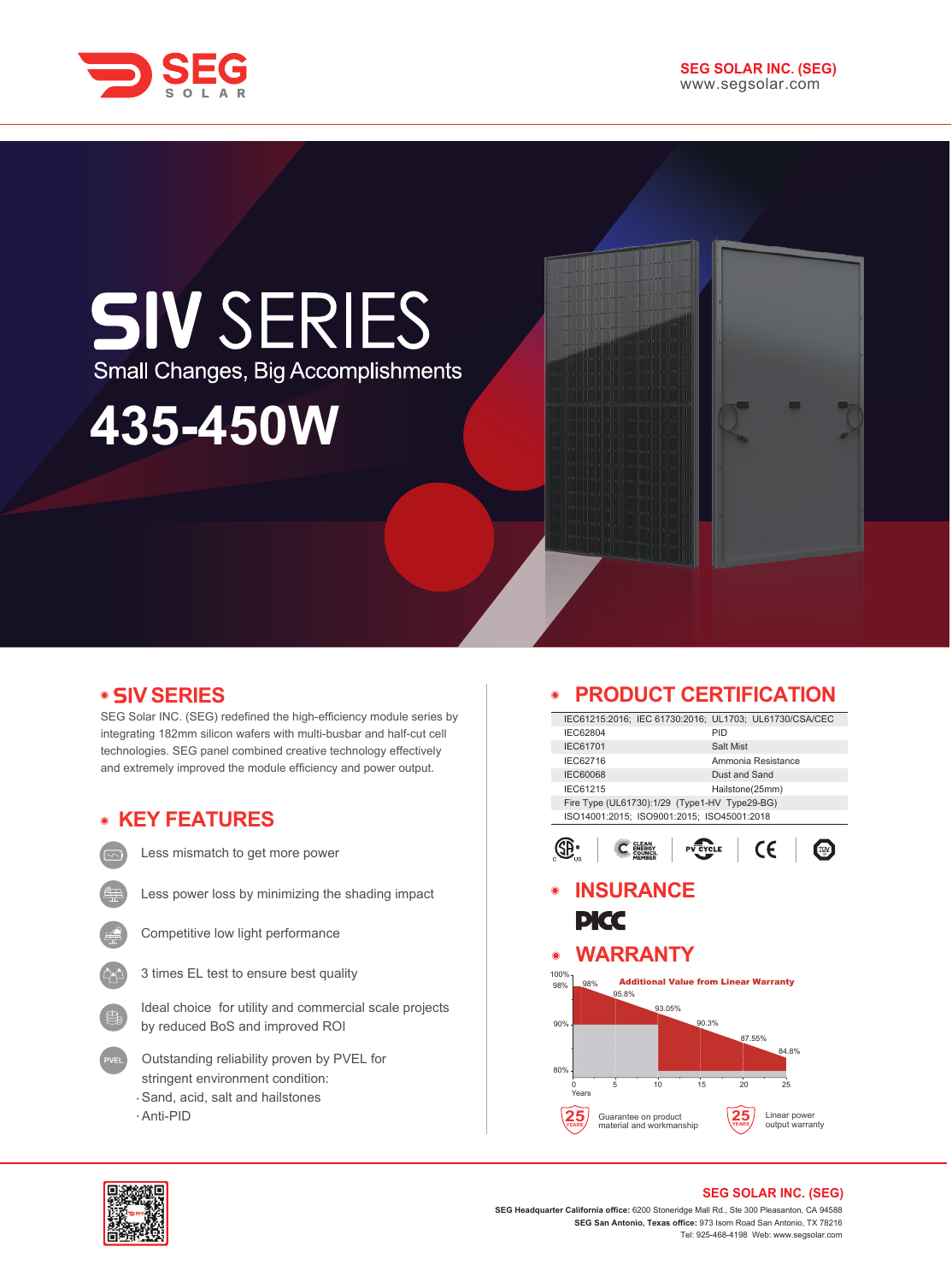



## **SIV SERIES** Small Changes, Big Accomplishments

# **435-450W**

#### **SERIES V**

SEG Solar INC. (SEG) redefined the high-efficiency module series by integrating 182mm silicon wafers with multi-busbar and half-cut cell technologies. SEG panel combined creative technology effectively and extremely improved the module efficiency and power output.

## **KEY FEATURES**

Less mismatch to get more power

Less power loss by minimizing the shading impact



Competitive low light performance

3 times EL test to ensure best quality

Ideal choice for utility and commercial scale projects by reduced BoS and improved ROI

- Outstanding reliability proven by PVEL for stringent environment condition: Sand, acid, salt and hailstones
- 

Anti-PID

#### **PRODUCT CERTIFICATION**

| IEC61215:2016; IEC 61730:2016; UL1703; UL61730/CSA/CEC |                                              |  |  |
|--------------------------------------------------------|----------------------------------------------|--|--|
| IEC62804                                               | PID                                          |  |  |
| <b>IEC61701</b>                                        | Salt Mist                                    |  |  |
| IEC62716                                               | Ammonia Resistance                           |  |  |
| <b>IEC60068</b>                                        | Dust and Sand                                |  |  |
| IEC61215                                               | Hailstone(25mm)                              |  |  |
| Fire Type (UL61730):1/29 (Type1-HV Type29-BG)          |                                              |  |  |
| ISO14001:2015; ISO9001:2015; ISO45001:2018             |                                              |  |  |
|                                                        | CE<br>/CLE                                   |  |  |
| <b>INSURANCE</b><br>PICC                               |                                              |  |  |
| <b>WARRANTY</b><br>$\odot$                             |                                              |  |  |
| 100%<br>98%<br>98%<br>95.8%                            | <b>Additional Value from Linear Warranty</b> |  |  |
| 93.05%                                                 |                                              |  |  |
| 90%                                                    | 90.3%<br>87.55%<br>84.8%                     |  |  |
|                                                        |                                              |  |  |
| 80%<br>5<br>15<br>10<br>Ω<br>Years                     | 20<br>25                                     |  |  |



#### **SEG SOLAR INC. (SEG)**

**SEG Headquarter California office:** 6200 Stoneridge Mall Rd., Ste 300 Pleasanton, CA 94588 **SEG San Antonio, Texas office:** 973 Isom Road San Antonio, TX 78216 Tel: 925-468-4198 Web: www.segsolar.com